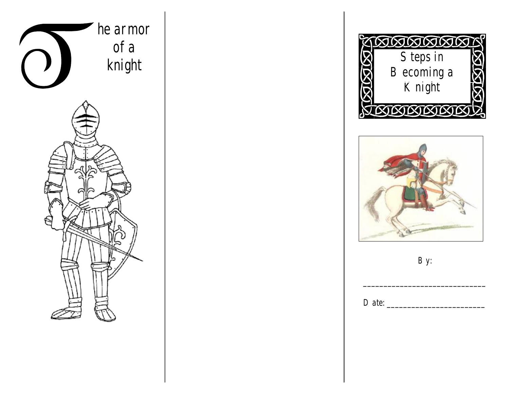





*By:* 

*\_\_\_\_\_\_\_\_\_\_\_\_\_\_\_\_\_\_\_\_\_\_\_\_\_\_\_\_\_\_* 

*Date: \_\_\_\_\_\_\_\_\_\_\_\_\_\_\_\_\_\_\_\_\_\_\_\_*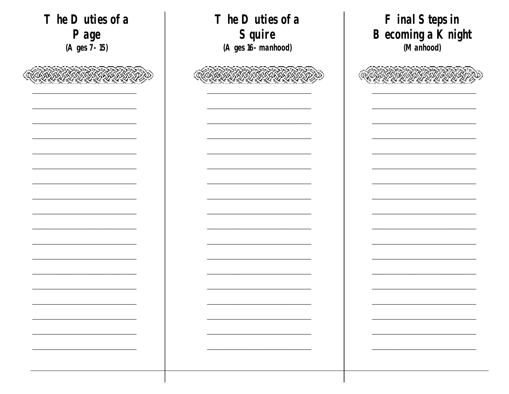Final Steps in The Duties of a The Duties of a Becoming a Knight Squire Page (A ges 16-manhood) (Manhood) (A ges 7-15)